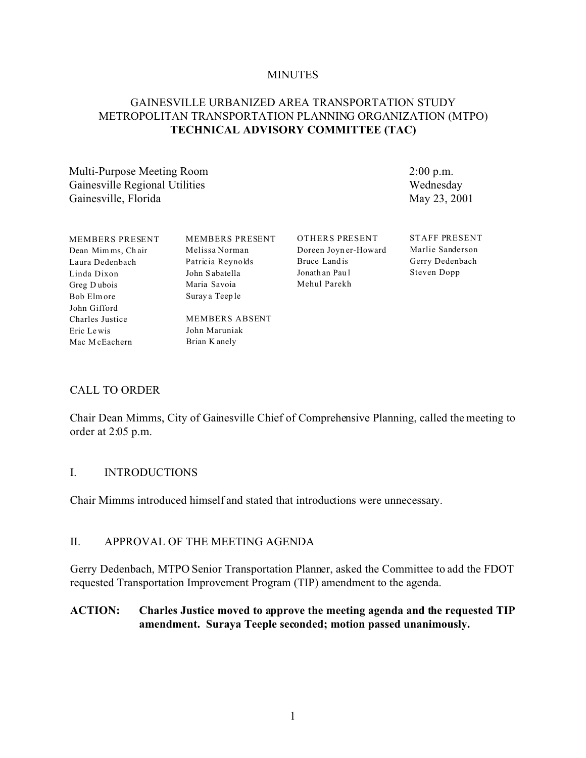#### **MINUTES**

### GAINESVILLE URBANIZED AREA TRANSPORTATION STUDY METROPOLITAN TRANSPORTATION PLANNING ORGANIZATION (MTPO) **TECHNICAL ADVISORY COMMITTEE (TAC)**

Multi-Purpose Meeting Room Gainesville Regional Utilities Gainesville, Florida

2:00 p.m. Wednesday May 23, 2001

| <b>MEMBERS PRESENT</b> | <b>MEMBERS PRESENT</b> | OTHERS PRESENT        | <b>STAFF PRESENT</b> |
|------------------------|------------------------|-----------------------|----------------------|
| Dean Mimms, Chair      | Melissa Norman         | Doreen Joyn er-Howard | Marlie Sanderson     |
| Laura Dedenbach        | Patricia Reynolds      | Bruce Land is         | Gerry Dedenbach      |
| Linda Dixon            | John Sabatella         | Jonath an Paul        | Steven Dopp          |
| Greg Dubois            | Maria Savoia           | Mehul Parekh          |                      |
| Bob Elmore             | Suray a Teeple         |                       |                      |
| John Gifford           |                        |                       |                      |
| Charles Justice        | MEMBERS ABSENT         |                       |                      |
| Eric Lewis             | John Maruniak          |                       |                      |
| Mac McEachern          | Brian K anely          |                       |                      |

#### CALL TO ORDER

Chair Dean Mimms, City of Gainesville Chief of Comprehensive Planning, called the meeting to order at 2:05 p.m.

#### I. INTRODUCTIONS

Chair Mimms introduced himself and stated that introductions were unnecessary.

#### II. APPROVAL OF THE MEETING AGENDA

Gerry Dedenbach, MTPO Senior Transportation Planner, asked the Committee to add the FDOT requested Transportation Improvement Program (TIP) amendment to the agenda.

#### **ACTION: Charles Justice moved to approve the meeting agenda and the requested TIP amendment. Suraya Teeple seconded; motion passed unanimously.**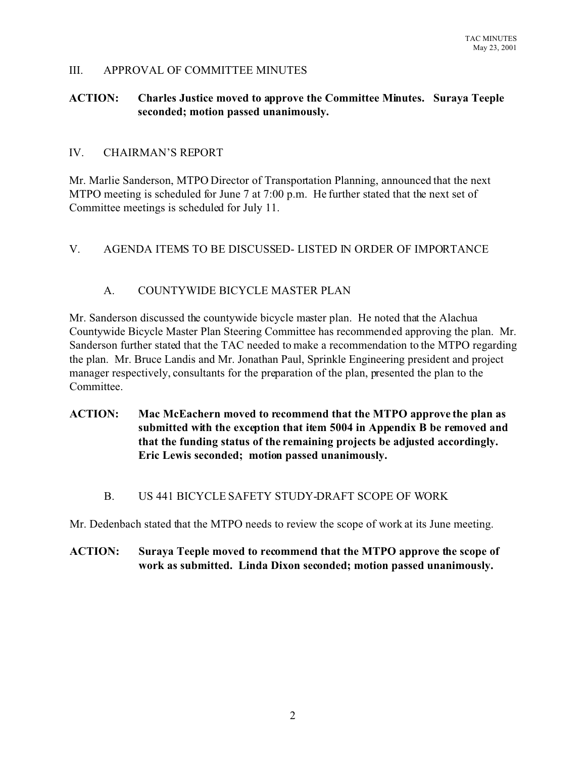### III. APPROVAL OF COMMITTEE MINUTES

### **ACTION: Charles Justice moved to approve the Committee Minutes. Suraya Teeple seconded; motion passed unanimously.**

#### IV. CHAIRMAN'S REPORT

Mr. Marlie Sanderson, MTPO Director of Transportation Planning, announced that the next MTPO meeting is scheduled for June 7 at 7:00 p.m. He further stated that the next set of Committee meetings is scheduled for July 11.

### V. AGENDA ITEMS TO BE DISCUSSED- LISTED IN ORDER OF IMPORTANCE

## A. COUNTYWIDE BICYCLE MASTER PLAN

Mr. Sanderson discussed the countywide bicycle master plan. He noted that the Alachua Countywide Bicycle Master Plan Steering Committee has recommended approving the plan. Mr. Sanderson further stated that the TAC needed to make a recommendation to the MTPO regarding the plan. Mr. Bruce Landis and Mr. Jonathan Paul, Sprinkle Engineering president and project manager respectively, consultants for the preparation of the plan, presented the plan to the Committee.

**ACTION: Mac McEachern moved to recommend that the MTPO approve the plan as submitted with the exception that item 5004 in Appendix B be removed and that the funding status of the remaining projects be adjusted accordingly. Eric Lewis seconded; motion passed unanimously.**

#### B. US 441 BICYCLE SAFETY STUDY-DRAFT SCOPE OF WORK

Mr. Dedenbach stated that the MTPO needs to review the scope of work at its June meeting.

## **ACTION: Suraya Teeple moved to recommend that the MTPO approve the scope of work as submitted. Linda Dixon seconded; motion passed unanimously.**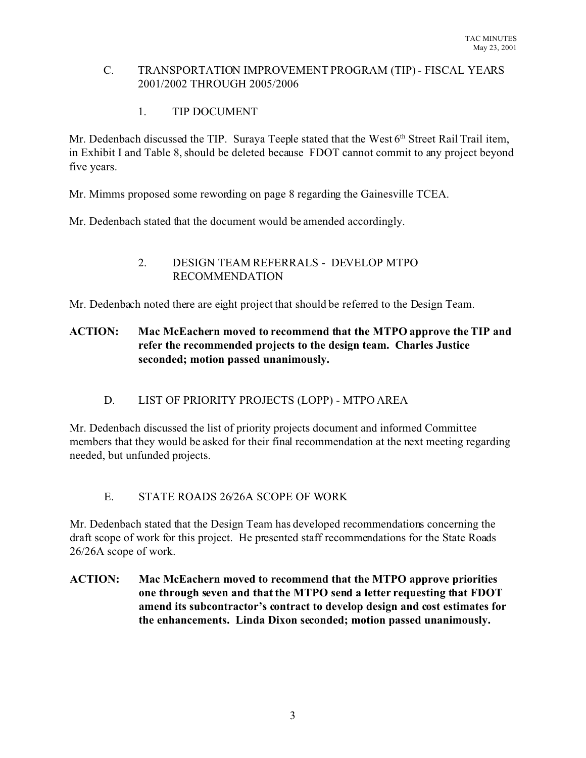### C. TRANSPORTATION IMPROVEMENT PROGRAM (TIP) - FISCAL YEARS 2001/2002 THROUGH 2005/2006

# 1. TIP DOCUMENT

Mr. Dedenbach discussed the TIP. Suraya Teeple stated that the West 6<sup>th</sup> Street Rail Trail item, in Exhibit I and Table 8, should be deleted because FDOT cannot commit to any project beyond five years.

Mr. Mimms proposed some rewording on page 8 regarding the Gainesville TCEA.

Mr. Dedenbach stated that the document would be amended accordingly.

## 2. DESIGN TEAM REFERRALS - DEVELOP MTPO RECOMMENDATION

Mr. Dedenbach noted there are eight project that should be referred to the Design Team.

# **ACTION: Mac McEachern moved to recommend that the MTPO approve the TIP and refer the recommended projects to the design team. Charles Justice seconded; motion passed unanimously.**

# D. LIST OF PRIORITY PROJECTS (LOPP) - MTPO AREA

Mr. Dedenbach discussed the list of priority projects document and informed Committee members that they would be asked for their final recommendation at the next meeting regarding needed, but unfunded projects.

# E. STATE ROADS 26/26A SCOPE OF WORK

Mr. Dedenbach stated that the Design Team has developed recommendations concerning the draft scope of work for this project. He presented staff recommendations for the State Roads 26/26A scope of work.

**ACTION: Mac McEachern moved to recommend that the MTPO approve priorities one through seven and that the MTPO send a letter requesting that FDOT amend its subcontractor's contract to develop design and cost estimates for the enhancements. Linda Dixon seconded; motion passed unanimously.**